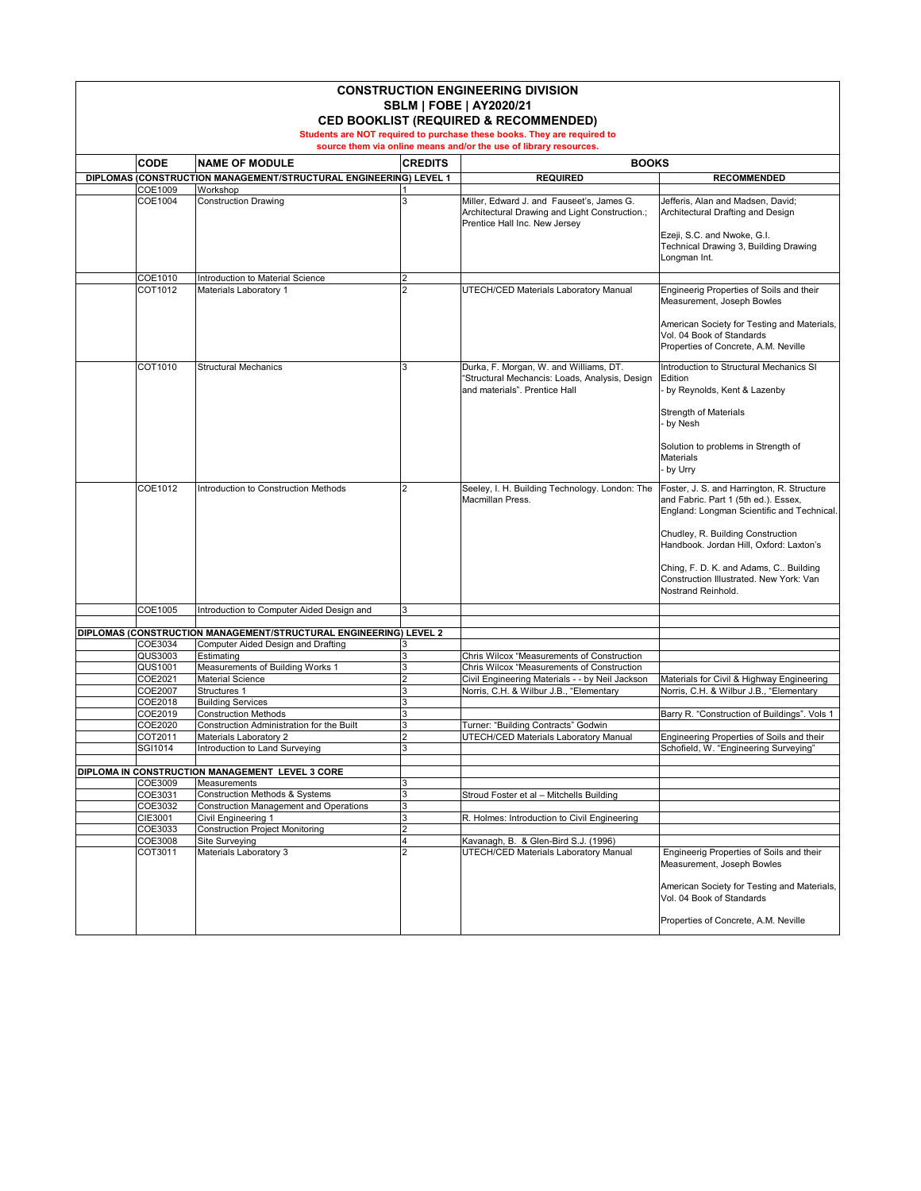| <b>CONSTRUCTION ENGINEERING DIVISION</b><br><b>SBLM   FOBE   AY2020/21</b><br><b>CED BOOKLIST (REQUIRED &amp; RECOMMENDED)</b><br>Students are NOT required to purchase these books. They are required to |                    |                                                                        |                |                                                                                                                                     |                                                                                                                                                                                                                                                                                     |  |  |
|-----------------------------------------------------------------------------------------------------------------------------------------------------------------------------------------------------------|--------------------|------------------------------------------------------------------------|----------------|-------------------------------------------------------------------------------------------------------------------------------------|-------------------------------------------------------------------------------------------------------------------------------------------------------------------------------------------------------------------------------------------------------------------------------------|--|--|
|                                                                                                                                                                                                           |                    |                                                                        |                | source them via online means and/or the use of library resources.                                                                   |                                                                                                                                                                                                                                                                                     |  |  |
|                                                                                                                                                                                                           | <b>CODE</b>        | <b>NAME OF MODULE</b>                                                  | <b>CREDITS</b> | <b>BOOKS</b>                                                                                                                        |                                                                                                                                                                                                                                                                                     |  |  |
|                                                                                                                                                                                                           |                    | DIPLOMAS (CONSTRUCTION MANAGEMENT/STRUCTURAL ENGINEERING) LEVEL 1      |                | <b>REQUIRED</b>                                                                                                                     | <b>RECOMMENDED</b>                                                                                                                                                                                                                                                                  |  |  |
|                                                                                                                                                                                                           | COE1009<br>COE1004 | Workshop<br><b>Construction Drawing</b>                                |                | Miller, Edward J. and Fauseet's, James G.<br>Architectural Drawing and Light Construction.;<br><b>Prentice Hall Inc. New Jersey</b> | Jefferis, Alan and Madsen, David;<br>Architectural Drafting and Design<br>Ezeji, S.C. and Nwoke, G.I.                                                                                                                                                                               |  |  |
|                                                                                                                                                                                                           |                    |                                                                        |                |                                                                                                                                     | <b>Technical Drawing 3, Building Drawing</b><br>Longman Int.                                                                                                                                                                                                                        |  |  |
|                                                                                                                                                                                                           | COE1010            | Introduction to Material Science                                       | $\overline{2}$ |                                                                                                                                     |                                                                                                                                                                                                                                                                                     |  |  |
|                                                                                                                                                                                                           | COT1012            | Materials Laboratory 1                                                 | $\overline{2}$ | <b>UTECH/CED Materials Laboratory Manual</b>                                                                                        | Engineerig Properties of Soils and their<br>Measurement, Joseph Bowles<br>American Society for Testing and Materials,<br>Vol. 04 Book of Standards<br>Properties of Concrete, A.M. Neville                                                                                          |  |  |
|                                                                                                                                                                                                           | COT1010            | Structural Mechanics                                                   | 3              | Durka, F. Morgan, W. and Williams, DT.<br>'Structural Mechancis: Loads, Analysis, Design<br>and materials". Prentice Hall           | Introduction to Structural Mechanics SI<br>Edition<br>by Reynolds, Kent & Lazenby<br><b>Strength of Materials</b><br>by Nesh<br>Solution to problems in Strength of                                                                                                                 |  |  |
|                                                                                                                                                                                                           | COE1012            | Introduction to Construction Methods                                   |                | Seeley, I. H. Building Technology. London: The<br><b>Macmillan Press.</b>                                                           | Materials<br>by Urry<br>Foster, J. S. and Harrington, R. Structure                                                                                                                                                                                                                  |  |  |
|                                                                                                                                                                                                           |                    |                                                                        |                |                                                                                                                                     | and Fabric. Part 1 (5th ed.). Essex,<br>England: Longman Scientific and Technical.<br>Chudley, R. Building Construction<br>Handbook. Jordan Hill, Oxford: Laxton's<br>Ching, F. D. K. and Adams, C Building<br>Construction Illustrated. New York: Van<br><b>Nostrand Reinhold.</b> |  |  |
|                                                                                                                                                                                                           | COE1005            | Introduction to Computer Aided Design and                              | 3              |                                                                                                                                     |                                                                                                                                                                                                                                                                                     |  |  |
|                                                                                                                                                                                                           |                    | DIPLOMAS (CONSTRUCTION MANAGEMENT/STRUCTURAL ENGINEERING) LEVEL 2      |                |                                                                                                                                     |                                                                                                                                                                                                                                                                                     |  |  |
|                                                                                                                                                                                                           | <b>COE3034</b>     | Computer Aided Design and Drafting                                     |                |                                                                                                                                     |                                                                                                                                                                                                                                                                                     |  |  |
|                                                                                                                                                                                                           | QUS3003            | Estimating                                                             |                | <b>Chris Wilcox "Measurements of Construction</b>                                                                                   |                                                                                                                                                                                                                                                                                     |  |  |
|                                                                                                                                                                                                           | <b>QUS1001</b>     | Measurements of Building Works 1                                       |                | <b>Chris Wilcox "Measurements of Construction</b>                                                                                   |                                                                                                                                                                                                                                                                                     |  |  |
|                                                                                                                                                                                                           | COE2021            | <b>Material Science</b>                                                |                | Civil Engineering Materials - - by Neil Jackson                                                                                     | Materials for Civil & Highway Engineering                                                                                                                                                                                                                                           |  |  |
|                                                                                                                                                                                                           | COE2007            | <b>Structures 1</b>                                                    |                | Norris, C.H. & Wilbur J.B., "Elementary                                                                                             | Norris, C.H. & Wilbur J.B., "Elementary                                                                                                                                                                                                                                             |  |  |
|                                                                                                                                                                                                           | COE2018            | <b>Building Services</b>                                               |                |                                                                                                                                     |                                                                                                                                                                                                                                                                                     |  |  |
|                                                                                                                                                                                                           | COE2019            | Construction Methods                                                   | 3              |                                                                                                                                     | Barry R. "Construction of Buildings". Vols 1                                                                                                                                                                                                                                        |  |  |
|                                                                                                                                                                                                           | COE2020            | Construction Administration for the Built                              |                | Turner: "Building Contracts" Godwin                                                                                                 |                                                                                                                                                                                                                                                                                     |  |  |
|                                                                                                                                                                                                           | COT2011            | Materials Laboratory 2                                                 |                | <b>UTECH/CED Materials Laboratory Manual</b>                                                                                        | Engineering Properties of Soils and their                                                                                                                                                                                                                                           |  |  |
|                                                                                                                                                                                                           | SGI1014            | Introduction to Land Surveying                                         |                |                                                                                                                                     | Schofield, W. "Engineering Surveying"                                                                                                                                                                                                                                               |  |  |
|                                                                                                                                                                                                           |                    |                                                                        |                |                                                                                                                                     |                                                                                                                                                                                                                                                                                     |  |  |
|                                                                                                                                                                                                           | COE3009            | DIPLOMA IN CONSTRUCTION MANAGEMENT LEVEL 3 CORE<br><b>Measurements</b> | 3              |                                                                                                                                     |                                                                                                                                                                                                                                                                                     |  |  |
|                                                                                                                                                                                                           | COE3031            | Construction Methods & Systems                                         | 3              | Stroud Foster et al - Mitchells Building                                                                                            |                                                                                                                                                                                                                                                                                     |  |  |
|                                                                                                                                                                                                           | COE3032            | Construction Management and Operations                                 | 3              |                                                                                                                                     |                                                                                                                                                                                                                                                                                     |  |  |
|                                                                                                                                                                                                           | <b>CIE3001</b>     | Civil Engineering 1                                                    | 3              | R. Holmes: Introduction to Civil Engineering                                                                                        |                                                                                                                                                                                                                                                                                     |  |  |
|                                                                                                                                                                                                           | COE3033            | <b>Construction Project Monitoring</b>                                 | ∩              |                                                                                                                                     |                                                                                                                                                                                                                                                                                     |  |  |
|                                                                                                                                                                                                           | COE3008            | <b>Site Surveying</b>                                                  |                | Kavanagh, B. & Glen-Bird S.J. (1996)                                                                                                |                                                                                                                                                                                                                                                                                     |  |  |
|                                                                                                                                                                                                           | COT3011            | Materials Laboratory 3                                                 | Ω              | <b>UTECH/CED Materials Laboratory Manual</b>                                                                                        | Engineerig Properties of Soils and their<br>Measurement, Joseph Bowles                                                                                                                                                                                                              |  |  |
|                                                                                                                                                                                                           |                    |                                                                        |                |                                                                                                                                     | American Society for Testing and Materials,<br>Vol. 04 Book of Standards                                                                                                                                                                                                            |  |  |
|                                                                                                                                                                                                           |                    |                                                                        |                |                                                                                                                                     | Properties of Concrete, A.M. Neville                                                                                                                                                                                                                                                |  |  |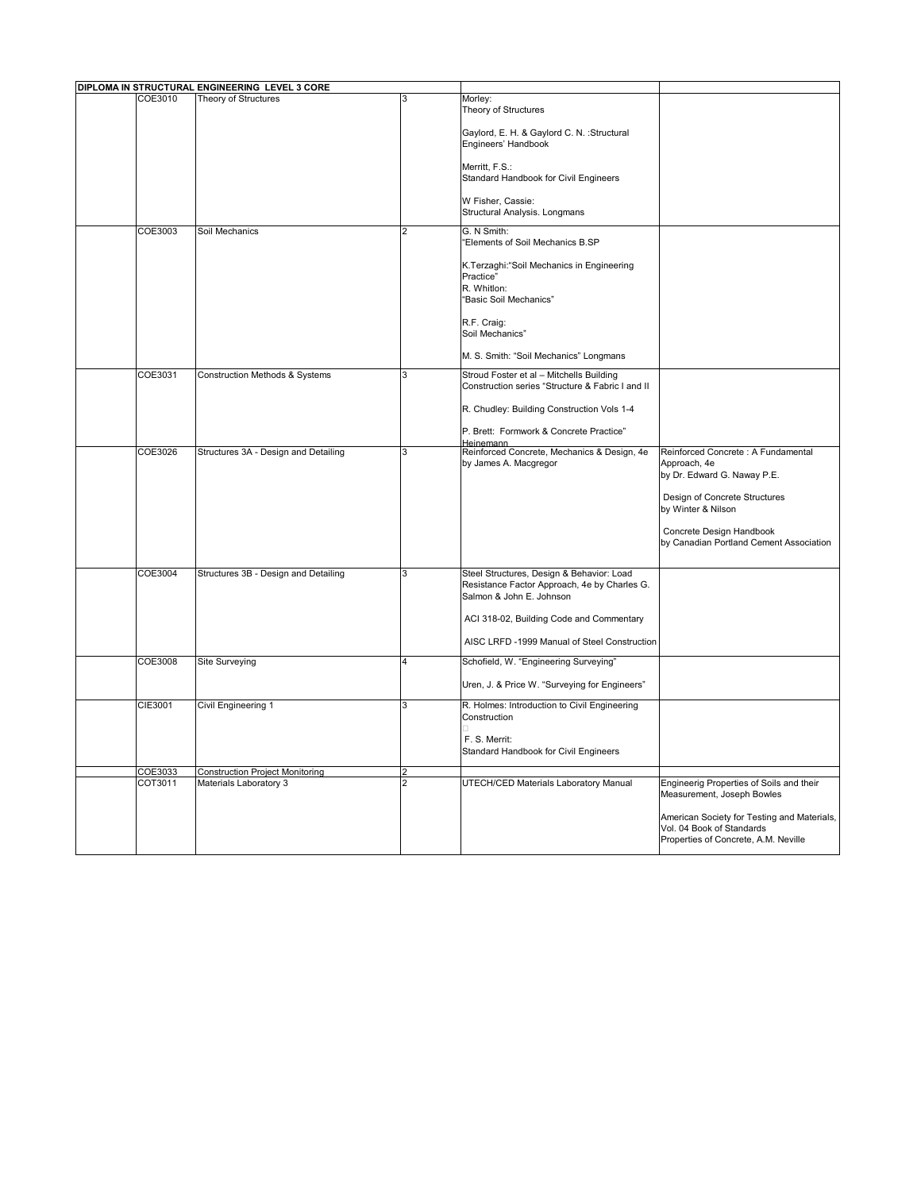| DIPLOMA IN STRUCTURAL ENGINEERING LEVEL 3 CORE |                                        |                |                                                                          |                                                                                                                  |
|------------------------------------------------|----------------------------------------|----------------|--------------------------------------------------------------------------|------------------------------------------------------------------------------------------------------------------|
| COE3010                                        | Theory of Structures                   | 3              | Morley:<br>Theory of Structures                                          |                                                                                                                  |
|                                                |                                        |                | Gaylord, E. H. & Gaylord C. N. : Structural<br>Engineers' Handbook       |                                                                                                                  |
|                                                |                                        |                | Merritt, F.S.:<br><b>Standard Handbook for Civil Engineers</b>           |                                                                                                                  |
|                                                |                                        |                | W Fisher, Cassie:<br>Structural Analysis. Longmans                       |                                                                                                                  |
| COE3003                                        | Soil Mechanics                         | $\overline{2}$ | G. N Smith:                                                              |                                                                                                                  |
|                                                |                                        |                | "Elements of Soil Mechanics B.SP                                         |                                                                                                                  |
|                                                |                                        |                | K.Terzaghi: "Soil Mechanics in Engineering<br>Practice"<br>R. Whitlon:   |                                                                                                                  |
|                                                |                                        |                | "Basic Soil Mechanics"                                                   |                                                                                                                  |
|                                                |                                        |                | R.F. Craig:<br>Soil Mechanics"                                           |                                                                                                                  |
|                                                |                                        |                | M. S. Smith: "Soil Mechanics" Longmans                                   |                                                                                                                  |
| COE3031                                        | Construction Methods & Systems         | 3              | Stroud Foster et al - Mitchells Building                                 |                                                                                                                  |
|                                                |                                        |                | Construction series "Structure & Fabric I and II                         |                                                                                                                  |
|                                                |                                        |                | R. Chudley: Building Construction Vols 1-4                               |                                                                                                                  |
|                                                |                                        |                | P. Brett: Formwork & Concrete Practice"<br>Heinemann                     |                                                                                                                  |
| COE3026                                        | Structures 3A - Design and Detailing   | 3              | Reinforced Concrete, Mechanics & Design, 4e<br>by James A. Macgregor     | Reinforced Concrete: A Fundamental<br>Approach, 4e                                                               |
|                                                |                                        |                |                                                                          | by Dr. Edward G. Naway P.E.                                                                                      |
|                                                |                                        |                |                                                                          | Design of Concrete Structures<br>by Winter & Nilson                                                              |
|                                                |                                        |                |                                                                          | Concrete Design Handbook<br>by Canadian Portland Cement Association                                              |
| COE3004                                        | Structures 3B - Design and Detailing   | 3              | Steel Structures, Design & Behavior: Load                                |                                                                                                                  |
|                                                |                                        |                | Resistance Factor Approach, 4e by Charles G.<br>Salmon & John E. Johnson |                                                                                                                  |
|                                                |                                        |                | ACI 318-02, Building Code and Commentary                                 |                                                                                                                  |
|                                                |                                        |                | AISC LRFD -1999 Manual of Steel Construction                             |                                                                                                                  |
| COE3008                                        | <b>Site Surveying</b>                  | 4              | Schofield, W. "Engineering Surveying"                                    |                                                                                                                  |
|                                                |                                        |                | Uren, J. & Price W. "Surveying for Engineers"                            |                                                                                                                  |
| <b>CIE3001</b>                                 | Civil Engineering 1                    | 3              | R. Holmes: Introduction to Civil Engineering                             |                                                                                                                  |
|                                                |                                        |                | Construction                                                             |                                                                                                                  |
|                                                |                                        |                | F. S. Merrit:<br>Standard Handbook for Civil Engineers                   |                                                                                                                  |
| COE3033                                        | <b>Construction Project Monitoring</b> | $\overline{2}$ |                                                                          |                                                                                                                  |
| COT3011                                        | Materials Laboratory 3                 | $\overline{2}$ | UTECH/CED Materials Laboratory Manual                                    | Engineerig Properties of Soils and their<br>Measurement, Joseph Bowles                                           |
|                                                |                                        |                |                                                                          | American Society for Testing and Materials,<br>Vol. 04 Book of Standards<br>Properties of Concrete, A.M. Neville |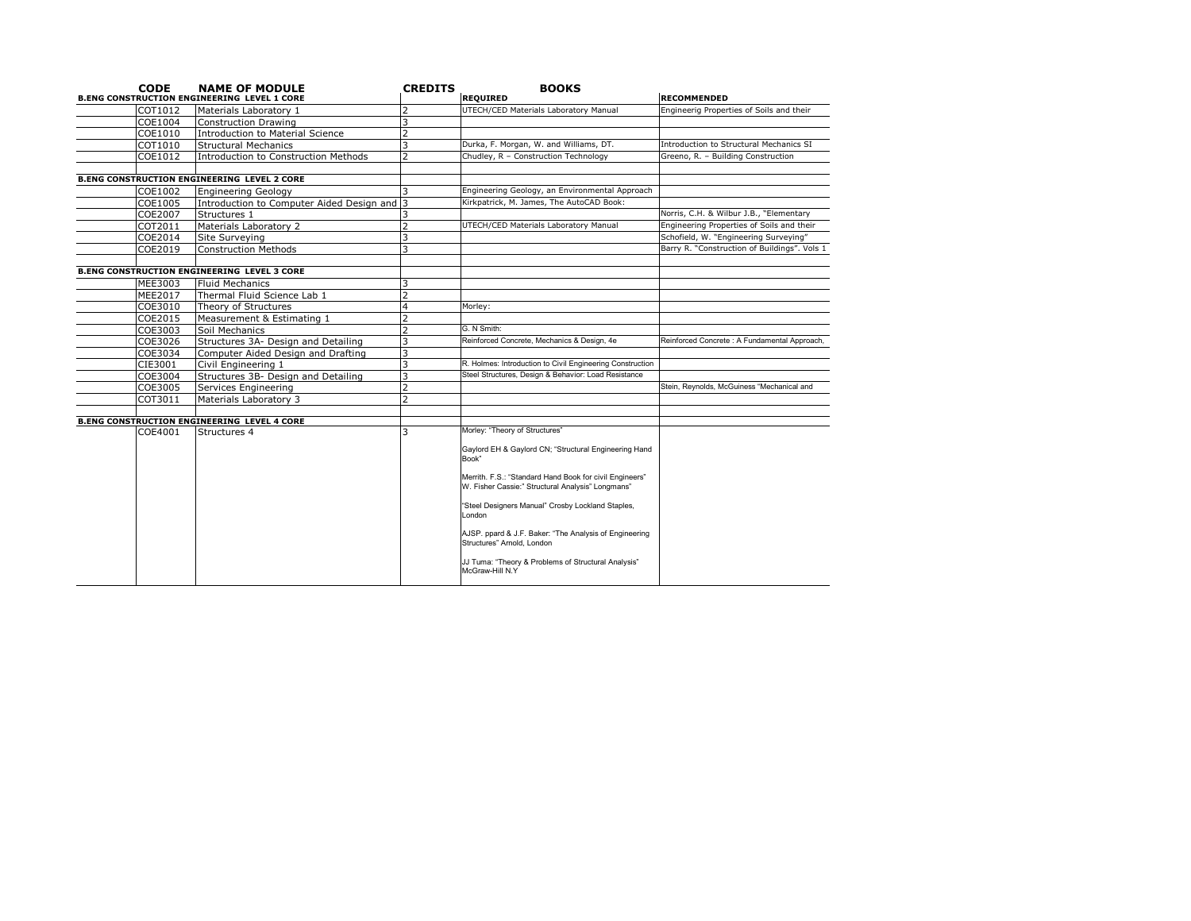| <b>CODE</b>        | <b>NAME OF MODULE</b>                              | <b>CREDITS</b> | <b>BOOKS</b>                                                                                                 |                                        |
|--------------------|----------------------------------------------------|----------------|--------------------------------------------------------------------------------------------------------------|----------------------------------------|
|                    | <b>B.ENG CONSTRUCTION ENGINEERING LEVEL 1 CORE</b> |                | <b>REQUIRED</b>                                                                                              | <b>RECOMMENDED</b>                     |
| COT1012            | Materials Laboratory 1                             |                | UTECH/CED Materials Laboratory Manual                                                                        | Engineerig Properties of Soils         |
| COE1004            | <b>Construction Drawing</b>                        |                |                                                                                                              |                                        |
| COE1010            | <b>Introduction to Material Science</b>            |                |                                                                                                              |                                        |
| COT1010            | <b>Structural Mechanics</b>                        | 3              | Durka, F. Morgan, W. and Williams, DT.                                                                       | <b>Introduction to Structural Mec</b>  |
| COE1012            | <b>Introduction to Construction Methods</b>        | フ              | Chudley, R - Construction Technology                                                                         | Greeno, R. - Building Constru          |
|                    | <b>B.ENG CONSTRUCTION ENGINEERING LEVEL 2 CORE</b> |                |                                                                                                              |                                        |
| COE1002            | <b>Engineering Geology</b>                         |                | Engineering Geology, an Environmental Approach                                                               |                                        |
| COE1005            | Introduction to Computer Aided Design and 3        |                | Kirkpatrick, M. James, The AutoCAD Book:                                                                     |                                        |
| <b>COE2007</b>     | Structures 1                                       |                |                                                                                                              | Norris, C.H. & Wilbur J.B., "Ele       |
| COT2011            | Materials Laboratory 2                             |                | UTECH/CED Materials Laboratory Manual                                                                        | <b>Engineering Properties of Soils</b> |
| COE2014            | Site Surveying                                     |                |                                                                                                              | Schofield, W. "Engineering Su          |
| COE2019            | <b>Construction Methods</b>                        | 3              |                                                                                                              | Barry R. "Construction of Build        |
|                    | <b>B.ENG CONSTRUCTION ENGINEERING LEVEL 3 CORE</b> |                |                                                                                                              |                                        |
| <b>MEE3003</b>     | <b>Fluid Mechanics</b>                             |                |                                                                                                              |                                        |
| MEE2017            | Thermal Fluid Science Lab 1                        |                |                                                                                                              |                                        |
| COE3010            | Theory of Structures                               |                | Morley:                                                                                                      |                                        |
| COE2015            | Measurement & Estimating 1                         |                |                                                                                                              |                                        |
| COE3003            | Soil Mechanics                                     |                | G. N Smith:                                                                                                  |                                        |
| COE3026            | Structures 3A- Design and Detailing                | 3              | Reinforced Concrete, Mechanics & Design, 4e                                                                  | Reinforced Concrete: A Fundame         |
| COE3034            | Computer Aided Design and Drafting                 |                |                                                                                                              |                                        |
| CIE3001            | Civil Engineering 1                                |                | R. Holmes: Introduction to Civil Engineering Construction                                                    |                                        |
| COE3004            | Structures 3B- Design and Detailing                |                | Steel Structures, Design & Behavior: Load Resistance                                                         |                                        |
|                    |                                                    |                |                                                                                                              | Stein, Reynolds, McGuiness "Mech       |
| COE3005<br>COT3011 | Services Engineering<br>Materials Laboratory 3     | $\overline{2}$ |                                                                                                              |                                        |
|                    |                                                    |                |                                                                                                              |                                        |
|                    | <b>B.ENG CONSTRUCTION ENGINEERING LEVEL 4 CORE</b> |                |                                                                                                              |                                        |
| COE4001            | Structures 4                                       | 3              | Morley: "Theory of Structures"                                                                               |                                        |
|                    |                                                    |                | Gaylord EH & Gaylord CN; "Structural Engineering Hand<br>Book"                                               |                                        |
|                    |                                                    |                | Merrith. F.S.: "Standard Hand Book for civil Engineers"<br>W. Fisher Cassie:" Structural Analysis" Longmans" |                                        |
|                    |                                                    |                | "Steel Designers Manual" Crosby Lockland Staples,<br>London                                                  |                                        |
|                    |                                                    |                | AJSP. ppard & J.F. Baker: "The Analysis of Engineering<br>Structures" Arnold, London                         |                                        |
|                    |                                                    |                | JJ Tuma: "Theory & Problems of Structural Analysis"<br>McGraw-Hill N.Y                                       |                                        |

gineerig Properties of Soils and their roduction to Structural Mechanics SI eeno, R. – Building Construction rris, C.H. & Wilbur J.B., "Elementary gineering Properties of Soils and their nofield, W. "Engineering Surveying" ry R. "Construction of Buildings". Vols 1 nforced Concrete : A Fundamental Approach, in, Reynolds, McGuiness "Mechanical and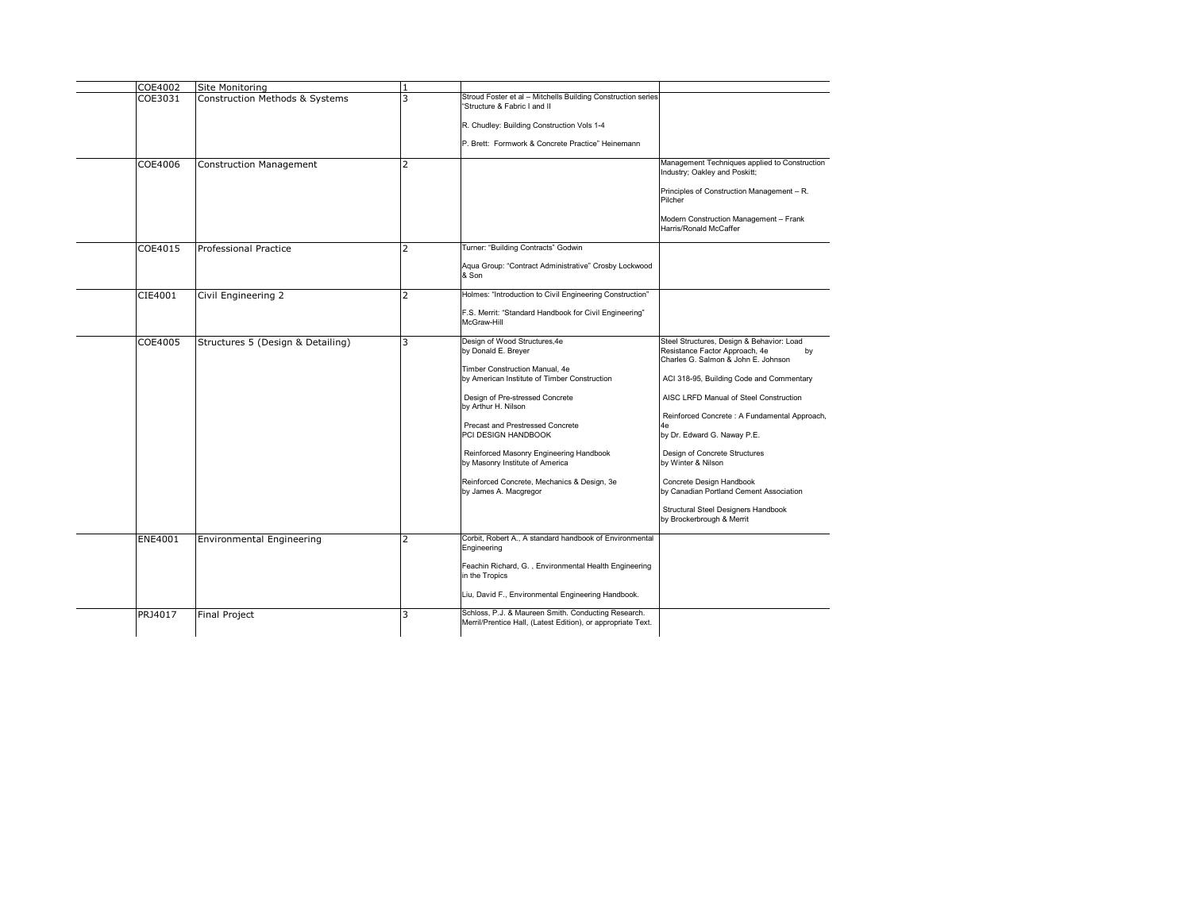| <b>COE4002</b> | Site Monitoring                   |   |                                                                                                                     |                                                                                                                          |
|----------------|-----------------------------------|---|---------------------------------------------------------------------------------------------------------------------|--------------------------------------------------------------------------------------------------------------------------|
| COE3031        | Construction Methods & Systems    |   | Stroud Foster et al - Mitchells Building Construction series<br>"Structure & Fabric I and II                        |                                                                                                                          |
|                |                                   |   | R. Chudley: Building Construction Vols 1-4                                                                          |                                                                                                                          |
|                |                                   |   | P. Brett: Formwork & Concrete Practice" Heinemann                                                                   |                                                                                                                          |
| <b>COE4006</b> | Construction Management           | 2 |                                                                                                                     | Management Techniques applied to Construction<br>Industry; Oakley and Poskitt;                                           |
|                |                                   |   |                                                                                                                     | Principles of Construction Management - R.<br>Pilcher                                                                    |
|                |                                   |   |                                                                                                                     | Modern Construction Management - Frank<br>Harris/Ronald McCaffer                                                         |
| COE4015        | <b>Professional Practice</b>      |   | Turner: "Building Contracts" Godwin                                                                                 |                                                                                                                          |
|                |                                   |   | Aqua Group: "Contract Administrative" Crosby Lockwood<br>& Son                                                      |                                                                                                                          |
| CIE4001        | Civil Engineering 2               |   | Holmes: "Introduction to Civil Engineering Construction"                                                            |                                                                                                                          |
|                |                                   |   | F.S. Merrit: "Standard Handbook for Civil Engineering"<br>McGraw-Hill                                               |                                                                                                                          |
| <b>COE4005</b> | Structures 5 (Design & Detailing) | 3 | Design of Wood Structures, 4e<br>by Donald E. Breyer<br>Timber Construction Manual, 4e                              | Steel Structures, Design & Behavior: Load<br>Resistance Factor Approach, 4e<br>by<br>Charles G. Salmon & John E. Johnson |
|                |                                   |   | by American Institute of Timber Construction                                                                        | ACI 318-95, Building Code and Commentary                                                                                 |
|                |                                   |   | Design of Pre-stressed Concrete<br>by Arthur H. Nilson                                                              | AISC LRFD Manual of Steel Construction                                                                                   |
|                |                                   |   | <b>Precast and Prestressed Concrete</b>                                                                             | Reinforced Concrete: A Fundamental Approach,<br>l4e                                                                      |
|                |                                   |   | <b>PCI DESIGN HANDBOOK</b>                                                                                          | by Dr. Edward G. Naway P.E.                                                                                              |
|                |                                   |   | Reinforced Masonry Engineering Handbook<br>by Masonry Institute of America                                          | Design of Concrete Structures<br>by Winter & Nilson                                                                      |
|                |                                   |   | Reinforced Concrete, Mechanics & Design, 3e<br>by James A. Macgregor                                                | Concrete Design Handbook<br>by Canadian Portland Cement Association                                                      |
|                |                                   |   |                                                                                                                     | <b>Structural Steel Designers Handbook</b><br>by Brockerbrough & Merrit                                                  |
| <b>ENE4001</b> | Environmental Engineering         |   | Corbit, Robert A., A standard handbook of Environmental<br>Engineering                                              |                                                                                                                          |
|                |                                   |   | Feachin Richard, G., Environmental Health Engineering<br>in the Tropics                                             |                                                                                                                          |
|                |                                   |   | Liu, David F., Environmental Engineering Handbook.                                                                  |                                                                                                                          |
| PRJ4017        | Final Project                     | 3 | Schloss, P.J. & Maureen Smith. Conducting Research.<br>Merril/Prentice Hall, (Latest Edition), or appropriate Text. |                                                                                                                          |
|                |                                   |   |                                                                                                                     |                                                                                                                          |